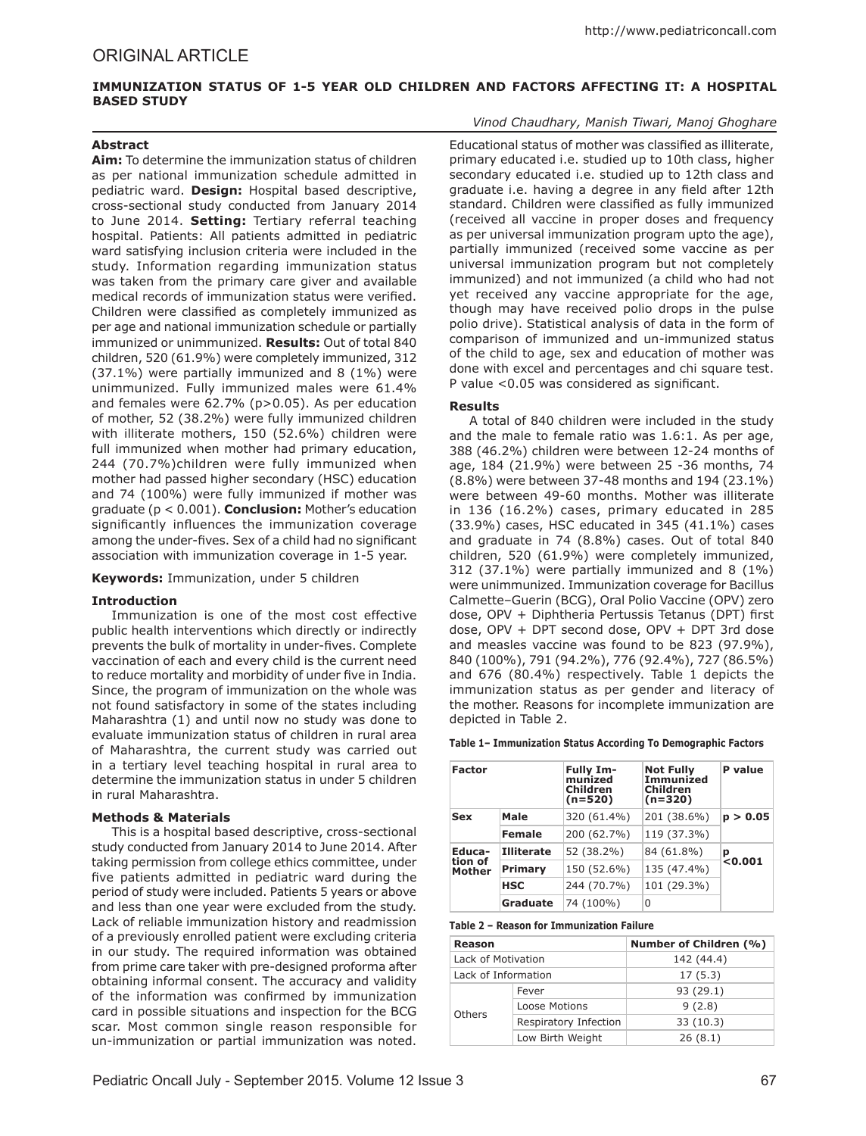## **Immunization Status of 1-5 Year Old Children and Factors Affecting It: A Hospital Based Study**

# **Abstract**

**Aim:** To determine the immunization status of children as per national immunization schedule admitted in pediatric ward. **Design:** Hospital based descriptive, cross-sectional study conducted from January 2014 to June 2014. **Setting:** Tertiary referral teaching hospital. Patients: All patients admitted in pediatric ward satisfying inclusion criteria were included in the study. Information regarding immunization status was taken from the primary care giver and available medical records of immunization status were verified. Children were classified as completely immunized as per age and national immunization schedule or partially immunized or unimmunized. **Results:** Out of total 840 children, 520 (61.9%) were completely immunized, 312 (37.1%) were partially immunized and 8 (1%) were unimmunized. Fully immunized males were 61.4% and females were 62.7% (p>0.05). As per education of mother, 52 (38.2%) were fully immunized children with illiterate mothers, 150 (52.6%) children were full immunized when mother had primary education, 244 (70.7%)children were fully immunized when mother had passed higher secondary (HSC) education and 74 (100%) were fully immunized if mother was graduate (p < 0.001). **Conclusion:** Mother's education significantly influences the immunization coverage among the under-fives. Sex of a child had no significant association with immunization coverage in 1-5 year.

**Keywords:** Immunization, under 5 children

### **Introduction**

Immunization is one of the most cost effective public health interventions which directly or indirectly prevents the bulk of mortality in under-fives. Complete vaccination of each and every child is the current need to reduce mortality and morbidity of under five in India. Since, the program of immunization on the whole was not found satisfactory in some of the states including Maharashtra (1) and until now no study was done to evaluate immunization status of children in rural area of Maharashtra, the current study was carried out in a tertiary level teaching hospital in rural area to determine the immunization status in under 5 children in rural Maharashtra.

### **Methods & Materials**

This is a hospital based descriptive, cross-sectional study conducted from January 2014 to June 2014. After taking permission from college ethics committee, under five patients admitted in pediatric ward during the period of study were included. Patients 5 years or above and less than one year were excluded from the study. Lack of reliable immunization history and readmission of a previously enrolled patient were excluding criteria in our study. The required information was obtained from prime care taker with pre-designed proforma after obtaining informal consent. The accuracy and validity of the information was confirmed by immunization card in possible situations and inspection for the BCG scar. Most common single reason responsible for un-immunization or partial immunization was noted.

### *Vinod Chaudhary, Manish Tiwari, Manoj Ghoghare*

Educational status of mother was classified as illiterate, primary educated i.e. studied up to 10th class, higher secondary educated i.e. studied up to 12th class and graduate i.e. having a degree in any field after 12th standard. Children were classified as fully immunized (received all vaccine in proper doses and frequency as per universal immunization program upto the age), partially immunized (received some vaccine as per universal immunization program but not completely immunized) and not immunized (a child who had not yet received any vaccine appropriate for the age, though may have received polio drops in the pulse polio drive). Statistical analysis of data in the form of comparison of immunized and un-immunized status of the child to age, sex and education of mother was done with excel and percentages and chi square test. P value <0.05 was considered as significant.

### **Results**

A total of 840 children were included in the study and the male to female ratio was 1.6:1. As per age, 388 (46.2%) children were between 12-24 months of age, 184 (21.9%) were between 25 -36 months, 74 (8.8%) were between 37-48 months and 194 (23.1%) were between 49-60 months. Mother was illiterate in 136 (16.2%) cases, primary educated in 285 (33.9%) cases, HSC educated in 345 (41.1%) cases and graduate in 74 (8.8%) cases. Out of total 840 children, 520 (61.9%) were completely immunized, 312 (37.1%) were partially immunized and 8 (1%) were unimmunized. Immunization coverage for Bacillus Calmette–Guerin (BCG), Oral Polio Vaccine (OPV) zero dose, OPV + Diphtheria Pertussis Tetanus (DPT) first dose, OPV + DPT second dose, OPV + DPT 3rd dose and measles vaccine was found to be 823 (97.9%), 840 (100%), 791 (94.2%), 776 (92.4%), 727 (86.5%) and 676 (80.4%) respectively. Table 1 depicts the immunization status as per gender and literacy of the mother. Reasons for incomplete immunization are depicted in Table 2.

#### **Table 1– Immunization Status According To Demographic Factors**

| <b>Factor</b>                      |                   | <b>Fully Im-</b><br>munized<br>Children<br>$(n=520)$ | <b>Not Fully</b><br><b>Immunized</b><br><b>Children</b><br>$(n=320)$ | P value              |
|------------------------------------|-------------------|------------------------------------------------------|----------------------------------------------------------------------|----------------------|
| <b>Sex</b>                         | Male              | 320 (61.4%)                                          | 201 (38.6%)                                                          | p > 0.05             |
|                                    | <b>Female</b>     | 200 (62.7%)                                          | 119 (37.3%)                                                          |                      |
| Educa-<br>tion of<br><b>Mother</b> | <b>Illiterate</b> | 52 (38.2%)                                           | 84 (61.8%)                                                           | р<br>$\approx 0.001$ |
|                                    | Primary           | 150 (52.6%)                                          | 135 (47.4%)                                                          |                      |
|                                    | <b>HSC</b>        | 244 (70.7%)                                          | 101 (29.3%)                                                          |                      |
|                                    | <b>Graduate</b>   | 74 (100%)                                            | 0                                                                    |                      |

**Table 2 – Reason for Immunization Failure**

| Reason              |                       | Number of Children (%) |  |
|---------------------|-----------------------|------------------------|--|
| Lack of Motivation  |                       | 142 (44.4)             |  |
| Lack of Information |                       | 17(5.3)                |  |
|                     | Fever                 | 93 (29.1)              |  |
|                     | Loose Motions         | 9(2.8)                 |  |
| Others              | Respiratory Infection | 33 (10.3)              |  |
|                     | Low Birth Weight      | 26(8.1)                |  |